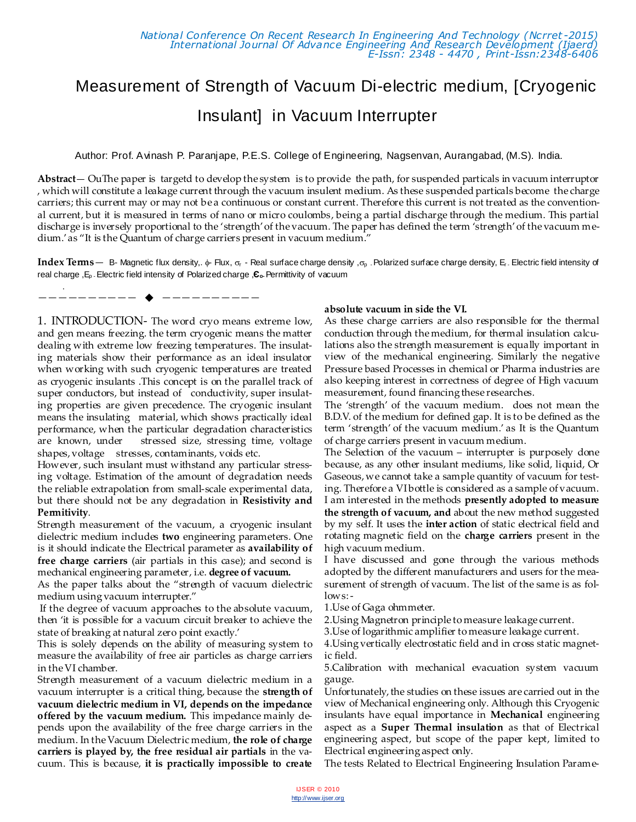# Measurement of Strength of Vacuum Di-electric medium, [Cryogenic Insulant] in Vacuum Interrupter

Author: Prof. Avinash P. Paranjape, P.E.S. College of Engineering, Nagsenvan, Aurangabad, (M.S). India.

**Abstract**— OuThe paper is targetd to develop the system is to provide the path, for suspended particals in vacuum interruptor , which will constitute a leakage current through the vacuum insulent medium. As these suspended particals become the charge carriers; this current may or may not be a continuous or constant current. Therefore this current is not treated as the conventional current, but it is measured in terms of nano or micro coulombs, being a partial discharge through the medium. This partial discharge is inversely proportional to the 'strength' of the vacuum. The paper has defined the term 'strength' of the vacuum medium.' as "It is the Quantum of charge carriers present in vacuum medium."

**Index Terms** — B- Magnetic flux density,.  $\phi$ - Flux,  $\sigma$ - Real surface charge density,  $\sigma$ <sub>D</sub> - Polarized surface charge density, E<sub>r</sub>. Electric field intensity of real charge ,Ep -Electric field intensity of Polarized charge ,**Єo-**Permittivity of vacuum

. —————————— ——————————

1. INTRODUCTION- The word cryo means extreme low, and gen means freezing. the term cryogenic means the matter dealing with extreme low freezing temperatures. The insulating materials show their performance as an ideal insulator when working with such cryogenic temperatures are treated as cryogenic insulants .This concept is on the parallel track of super conductors, but instead of conductivity, super insulating properties are given precedence. The cryogenic insulant means the insulating material, which shows practically ideal performance, when the particular degradation characteristics are known, under stressed size, stressing time, voltage shapes, voltage stresses, contaminants, voids etc.

However, such insulant must withstand any particular stressing voltage. Estimation of the amount of degradation needs the reliable extrapolation from small-scale experimental data, but there should not be any degradation in **Resistivity and Permitivity**.

Strength measurement of the vacuum, a cryogenic insulant dielectric medium includes **two** engineering parameters. One is it should indicate the Electrical parameter as **availability of free charge carriers** (air partials in this case); and second is mechanical engineering parameter, i.e. **degree of vacuum.**

As the paper talks about the 'strength of vacuum dielectric medium using vacuum interrupter.'

If the degree of vacuum approaches to the absolute vacuum, then 'it is possible for a vacuum circuit breaker to achieve the state of breaking at natural zero point exactly.'

This is solely depends on the ability of measuring system to measure the availability of free air particles as charge carriers in the VI chamber.

Strength measurement of a vacuum dielectric medium in a vacuum interrupter is a critical thing, because the **strength of vacuum dielectric medium in VI, depends on the impedance offered by the vacuum medium.** This impedance mainly depends upon the availability of the free charge carriers in the medium. In the Vacuum Dielectric medium, **the role of charge carriers is played by, the free residual air partials** in the vacuum. This is because, **it is practically impossible to create** 

#### **absolute vacuum in side the VI.**

As these charge carriers are also responsible for the thermal conduction through the medium, for thermal insulation calculations also the strength measurement is equally important in view of the mechanical engineering. Similarly the negative Pressure based Processes in chemical or Pharma industries are also keeping interest in correctness of degree of High vacuum measurement, found financing these researches.

The 'strength' of the vacuum medium. does not mean the B.D.V. of the medium for defined gap. It is to be defined as the term 'strength' of the vacuum medium.' as It is the Quantum of charge carriers present in vacuum medium.

The Selection of the vacuum – interrupter is purposely done because, as any other insulant mediums, like solid, liquid, Or Gaseous, we cannot take a sample quantity of vacuum for testing. Therefore a VI bottle is considered as a sample of vacuum. I am interested in the methods **presently adopted to measure the strength of vacuum, and** about the new method suggested by my self. It uses the **inter action** of static electrical field and rotating magnetic field on the **charge carriers** present in the high vacuum medium.

I have discussed and gone through the various methods adopted by the different manufacturers and users for the measurement of strength of vacuum. The list of the same is as follows: -

1.Use of Gaga ohmmeter.

2.Using Magnetron principle to measure leakage current.

3.Use of logarithmic amplifier to measure leakage current.

4.Using vertically electrostatic field and in cross static magnetic field.

5.Calibration with mechanical evacuation system vacuum gauge.

Unfortunately, the studies on these issues are carried out in the view of Mechanical engineering only. Although this Cryogenic insulants have equal importance in **Mechanical** engineering aspect as a **Super Thermal insulation** as that of Electrical engineering aspect, but scope of the paper kept, limited to Electrical engineering aspect only.

The tests Related to Electrical Engineering Insulation Parame-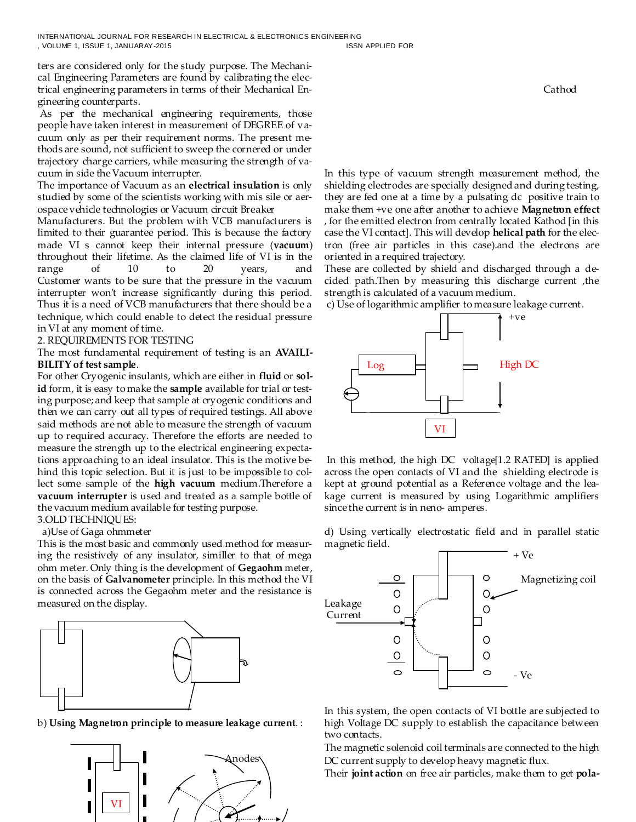ters are considered only for the study purpose. The Mechanical Engineering Parameters are found by calibrating the electrical engineering parameters in terms of their Mechanical Engineering counterparts.

As per the mechanical engineering requirements, those people have taken interest in measurement of DEGREE of vacuum only as per their requirement norms. The present methods are sound, not sufficient to sweep the cornered or under trajectory charge carriers, while measuring the strength of vacuum in side the Vacuum interrupter.

The importance of Vacuum as an **electrical insulation** is only studied by some of the scientists working with mis sile or aerospace vehicle technologies or Vacuum circuit Breaker

Manufacturers. But the problem with VCB manufacturers is limited to their guarantee period. This is because the factory made VI s cannot keep their internal pressure (**vacuum**) throughout their lifetime. As the claimed life of VI is in the range of 10 to 20 years, and Customer wants to be sure that the pressure in the vacuum interrupter won't increase significantly during this period. Thus it is a need of VCB manufacturers that there should be a technique, which could enable to detect the residual pressure in VI at any moment of time.

2. REQUIREMENTS FOR TESTING

The most fundamental requirement of testing is an **AVAILI-BILITY of test sample**.

For other Cryogenic insulants, which are either in **fluid** or **solid** form, it is easy to make the **sample** available for trial or testing purpose; and keep that sample at cryogenic conditions and then we can carry out all types of required testings. All above said methods are not able to measure the strength of vacuum up to required accuracy. Therefore the efforts are needed to measure the strength up to the electrical engineering expectations approaching to an ideal insulator. This is the motive behind this topic selection. But it is just to be impossible to collect some sample of the **high vacuum** medium.Therefore a **vacuum interrupter** is used and treated as a sample bottle of the vacuum medium available for testing purpose.

### 3.OLD TECHNIQUES:

#### a)Use of Gaga ohmmeter

This is the most basic and commonly used method for measuring the resistively of any insulator, similler to that of mega ohm meter. Only thing is the development of **Gegaohm** meter, on the basis of **Galvanometer** principle. In this method the VI is connected across the Gegaohm meter and the resistance is measured on the display.







**Cathod Cathod** 

In this type of vacuum strength measurement method, the shielding electrodes are specially designed and during testing, they are fed one at a time by a pulsating dc positive train to make them +ve one after another to achieve **Magnetron effect**  , for the emitted electron from centrally located Kathod [in this case the VI contact]. This will develop **helical path** for the electron (free air particles in this case).and the electrons are oriented in a required trajectory.

These are collected by shield and discharged through a decided path.Then by measuring this discharge current ,the strength is calculated of a vacuum medium.

c) Use of logarithmic amplifier to measure leakage current.



In this method, the high DC voltage[1.2 RATED] is applied across the open contacts of VI and the shielding electrode is kept at ground potential as a Reference voltage and the leakage current is measured by using Logarithmic amplifiers since the current is in neno- amperes.

d) Using vertically electrostatic field and in parallel static magnetic field.



In this system, the open contacts of VI bottle are subjected to high Voltage DC supply to establish the capacitance between two contacts.

The magnetic solenoid coil terminals are connected to the high DC current supply to develop heavy magnetic flux.

Their **joint action** on free air particles, make them to get **pola-**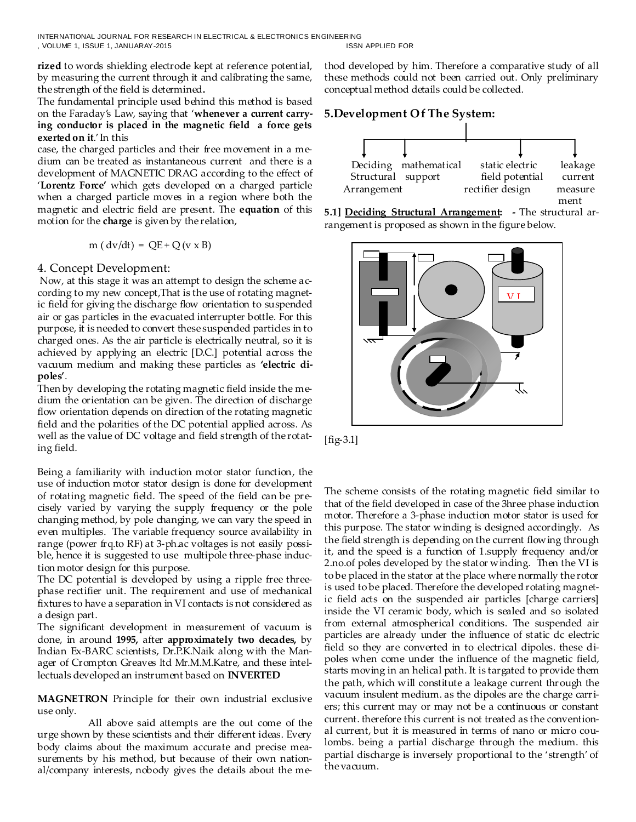INTERNATIONAL JOURNAL FOR RESEARCH IN ELECTRICAL & ELECTRONICS ENGINEERING , VOLUME 1, ISSUE 1, JANUARAY-2015 ISSN APPLIED FOR

**rized** to words shielding electrode kept at reference potential, by measuring the current through it and calibrating the same, the strength of the field is determined**.**

The fundamental principle used behind this method is based on the Faraday's Law, saying that '**whenever a current carrying conductor is placed in the magnetic field a force gets exerted on it**.' In this

case, the charged particles and their free movement in a medium can be treated as instantaneous current and there is a development of MAGNETIC DRAG according to the effect of '**Lorentz Force'** which gets developed on a charged particle when a charged particle moves in a region where both the magnetic and electric field are present. The **equation** of this motion for the **charge** is given by the relation,

$$
m (dv/dt) = QE + Q (v \times B)
$$

### 4. Concept Development:

Now, at this stage it was an attempt to design the scheme according to my new concept,That is the use of rotating magnetic field for giving the discharge flow orientation to suspended air or gas particles in the evacuated interrupter bottle. For this purpose, it is needed to convert these suspended particles in to charged ones. As the air particle is electrically neutral, so it is achieved by applying an electric [D.C.] potential across the vacuum medium and making these particles as **'electric dipoles'**.

Then by developing the rotating magnetic field inside the medium the orientation can be given. The direction of discharge flow orientation depends on direction of the rotating magnetic field and the polarities of the DC potential applied across. As well as the value of DC voltage and field strength of the rotating field.

Being a familiarity with induction motor stator function, the use of induction motor stator design is done for development of rotating magnetic field. The speed of the field can be precisely varied by varying the supply frequency or the pole changing method, by pole changing, we can vary the speed in even multiples. The variable frequency source availability in range (power frq.to RF) at 3-ph.ac voltages is not easily possible, hence it is suggested to use multipole three-phase induction motor design for this purpose.

The DC potential is developed by using a ripple free threephase rectifier unit. The requirement and use of mechanical fixtures to have a separation in VI contacts is not considered as a design part.

The significant development in measurement of vacuum is done, in around **1995,** after **approximately two decades,** by Indian Ex-BARC scientists, Dr.P.K.Naik along with the Manager of Crompton Greaves ltd Mr.M.M.Katre, and these intellectuals developed an instrument based on **INVERTED** 

**MAGNETRON** Principle for their own industrial exclusive use only.

 All above said attempts are the out come of the urge shown by these scientists and their different ideas. Every body claims about the maximum accurate and precise measurements by his method, but because of their own national/company interests, nobody gives the details about the method developed by him. Therefore a comparative study of all these methods could not been carried out. Only preliminary conceptual method details could be collected.

# **5.Development Of The System:**







[fig-3.1]

The scheme consists of the rotating magnetic field similar to that of the field developed in case of the 3hree phase induction motor. Therefore a 3-phase induction motor stator is used for this purpose. The stator winding is designed accordingly. As the field strength is depending on the current flowing through it, and the speed is a function of 1.supply frequency and/or 2.no.of poles developed by the stator winding. Then the VI is to be placed in the stator at the place where normally the rotor is used to be placed. Therefore the developed rotating magnetic field acts on the suspended air particles [charge carriers] inside the VI ceramic body, which is sealed and so isolated from external atmospherical conditions. The suspended air particles are already under the influence of static dc electric field so they are converted in to electrical dipoles. these dipoles when come under the influence of the magnetic field, starts moving in an helical path. It is targated to provide them the path, which will constitute a leakage current through the vacuum insulent medium. as the dipoles are the charge carriers; this current may or may not be a continuous or constant current. therefore this current is not treated as the conventional current, but it is measured in terms of nano or micro coulombs. being a partial discharge through the medium. this partial discharge is inversely proportional to the 'strength' of the vacuum.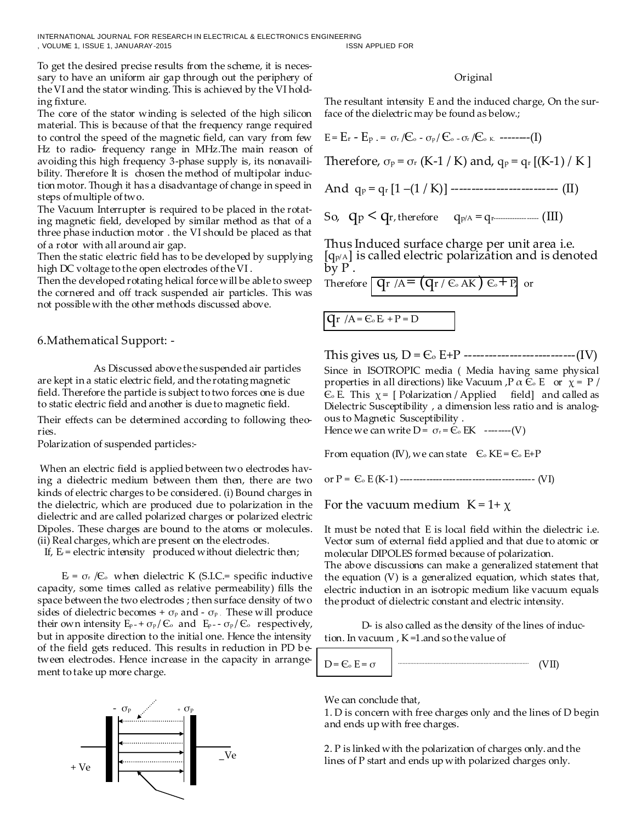INTERNATIONAL JOURNAL FOR RESEARCH IN ELECTRICAL & ELECTRONICS ENGINEERING , VOLUME 1, ISSUE 1, JANUARAY-2015 ISSN APPLIED FOR

To get the desired precise results from the scheme, it is necessary to have an uniform air gap through out the periphery of the VI and the stator winding. This is achieved by the VI holding fixture.

The core of the stator winding is selected of the high silicon material. This is because of that the frequency range required to control the speed of the magnetic field, can vary from few Hz to radio- frequency range in MHz.The main reason of avoiding this high frequency 3-phase supply is, its nonavailibility. Therefore It is chosen the method of multipolar induction motor. Though it has a disadvantage of change in speed in steps of multiple of two.

The Vacuum Interrupter is required to be placed in the rotating magnetic field, developed by similar method as that of a three phase induction motor . the VI should be placed as that of a rotor with all around air gap.

Then the static electric field has to be developed by supplying high DC voltage to the open electrodes of the VI .

Then the developed rotating helical force will be able to sweep the cornered and off track suspended air particles. This was not possible with the other methods discussed above.

6.Mathematical Support: -

 As Discussed above the suspended air particles are kept in a static electric field, and the rotating magnetic field. Therefore the particle is subject to two forces one is due to static electric field and another is due to magnetic field.

Their effects can be determined according to following theories.

Polarization of suspended particles:-

When an electric field is applied between two electrodes having a dielectric medium between them then, there are two kinds of electric charges to be considered. (i) Bound charges in the dielectric, which are produced due to polarization in the dielectric and are called polarized charges or polarized electric Dipoles. These charges are bound to the atoms or molecules. (ii) Real charges, which are present on the electrodes.

If,  $E_r$  = electric intensity produced without dielectric then;

 $E_r = \sigma_r /C_o$  when dielectric K (S.I.C.= specific inductive capacity, some times called as relative permeability) fills the space between the two electrodes ; then surface density of two sides of dielectric becomes +  $\sigma_{\rm P}$  and -  $\sigma_{\rm P}$ . These will produce their own intensity  $E_p = + \sigma_p / C_0$  and  $E_p = - \sigma_p / C_0$  respectively, but in apposite direction to the initial one. Hence the intensity of the field gets reduced. This results in reduction in PD between electrodes. Hence increase in the capacity in arrangement to take up more charge.



#### Original

The resultant intensity E and the induced charge, On the surface of the dielectric may be found as below.;



Thus Induced surface charge per unit area i.e.  $[q_{p/A}]$  is called electric polarization and is denoted  $b\bar{v} P$ .

Therefore  $\boxed{q_r / A = (q_r / \varepsilon_{\infty} A K) \varepsilon_{\infty} + p}$  or

$$
qr / A = C_0 E_r + P = D
$$

This gives us, D = Є<sup>o</sup> E+P ---------------------------(IV)

Since in ISOTROPIC media ( Media having same physical properties in all directions) like Vacuum ,P  $\alpha \in E$  or  $\chi = P$  /  $\mathcal{E}_o$  E. This  $\chi$  = [ Polarization / Applied field] and called as Dielectric Susceptibility , a dimension less ratio and is analogous to Magnetic Susceptibility .

Hence we can write  $D = \sigma_r = \mathcal{C}_0$  EK --------(V)

From equation (IV), we can state  $\epsilon_{\infty}$  KE =  $\epsilon_{\infty}$  E+P

or P = Є<sup>o</sup> E (K-1) ----------------------------------------- (VI)

For the vacuum medium  $K = 1 + \chi$ 

It must be noted that E is local field within the dielectric i.e. Vector sum of external field applied and that due to atomic or molecular DIPOLES formed because of polarization.

The above discussions can make a generalized statement that the equation (V) is a generalized equation, which states that, electric induction in an isotropic medium like vacuum equals the product of dielectric constant and electric intensity.

D- is also called as the density of the lines of induction. In vacuum , K =1.and so the value of



We can conclude that,

1. D is concern with free charges only and the lines of D begin and ends up with free charges.

2. P is linked with the polarization of charges only. and the lines of P start and ends up with polarized charges only.